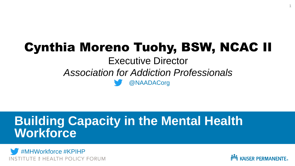# Cynthia Moreno Tuohy, BSW, NCAC II

Executive Director *Association for Addiction Professionals* 

@NAADACorg

### **Building Capacity in the Mental Health Workforce**





1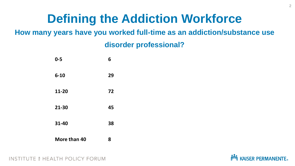### **Defining the Addiction Workforce**

#### **How many years have you worked full-time as an addiction/substance use**

#### **disorder professional?**

| $0 - 5$      | 6  |
|--------------|----|
| $6 - 10$     | 29 |
| 11-20        | 72 |
| 21-30        | 45 |
| 31-40        | 38 |
| More than 40 | 8  |

TE & HEALTH POLICY FORUM

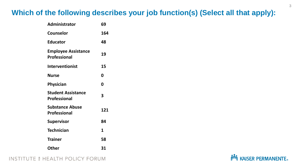#### **Which of the following describes your job function(s) (Select all that apply):**

| Administrator                                     | 69  |
|---------------------------------------------------|-----|
| <b>Counselor</b>                                  | 164 |
| <b>Educator</b>                                   | 48  |
| <b>Employee Assistance</b><br><b>Professional</b> | 19  |
| <b>Interventionist</b>                            | 15  |
| <b>Nurse</b>                                      | 0   |
| <b>Physician</b>                                  | 0   |
| <b>Student Assistance</b><br><b>Professional</b>  | 3   |
| <b>Substance Abuse</b><br><b>Professional</b>     | 121 |
| <b>Supervisor</b>                                 | 84  |
| <b>Technician</b>                                 | 1   |
| <b>Trainer</b>                                    | 58  |
| <b>Other</b>                                      | 31  |

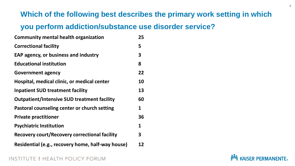#### **Which of the following best describes the primary work setting in which**

#### **you perform addiction/substance use disorder service?**

| <b>Community mental health organization</b>          | 25 |
|------------------------------------------------------|----|
| <b>Correctional facility</b>                         | 5  |
| <b>EAP agency, or business and industry</b>          | 3  |
| <b>Educational institution</b>                       | 8  |
| <b>Government agency</b>                             | 22 |
| Hospital, medical clinic, or medical center          | 10 |
| <b>Inpatient SUD treatment facility</b>              | 13 |
| <b>Outpatient/Intensive SUD treatment facility</b>   | 60 |
| Pastoral counseling center or church setting         | 1  |
| <b>Private practitioner</b>                          | 36 |
| <b>Psychiatric Institution</b>                       | 1  |
| <b>Recovery court/Recovery correctional facility</b> | 3  |
| Residential (e.g., recovery home, half-way house)    | 12 |

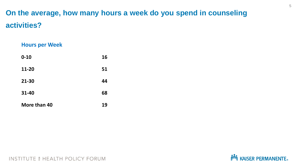### **On the average, how many hours a week do you spend in counseling activities?**

#### **Hours per Week**

| $0 - 10$     | 16 |
|--------------|----|
| 11-20        | 51 |
| 21-30        | 44 |
| 31-40        | 68 |
| More than 40 | 19 |

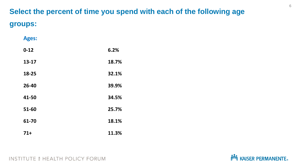### **Select the percent of time you spend with each of the following age groups:**

| <b>Ages:</b> |       |
|--------------|-------|
| $0 - 12$     | 6.2%  |
| $13 - 17$    | 18.7% |
| 18-25        | 32.1% |
| 26-40        | 39.9% |
| 41-50        | 34.5% |
| 51-60        | 25.7% |
| 61-70        | 18.1% |
| $71+$        | 11.3% |

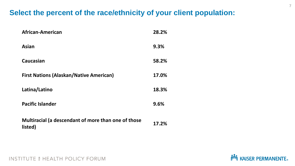#### **Select the percent of the race/ethnicity of your client population:**

| African-American                                               | 28.2% |
|----------------------------------------------------------------|-------|
| <b>Asian</b>                                                   | 9.3%  |
| <b>Caucasian</b>                                               | 58.2% |
| <b>First Nations (Alaskan/Native American)</b>                 | 17.0% |
| Latina/Latino                                                  | 18.3% |
| <b>Pacific Islander</b>                                        | 9.6%  |
| Multiracial (a descendant of more than one of those<br>listed) | 17.2% |

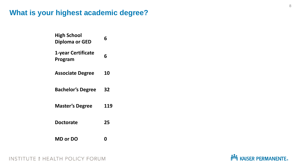#### **What is your highest academic degree?**

| <b>High School</b><br><b>Diploma or GED</b> | 6   |
|---------------------------------------------|-----|
| 1-year Certificate<br>Program               | 6   |
| <b>Associate Degree</b>                     | 10  |
| <b>Bachelor's Degree</b>                    | 32  |
| <b>Master's Degree</b>                      | 119 |
| <b>Doctorate</b>                            | 25  |
| <b>MD or DO</b>                             |     |

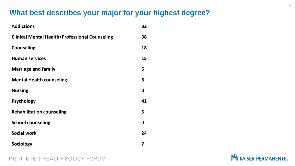#### **What best describes your major for your highest degree?**

| <b>Addictions</b>                                     | 32 |
|-------------------------------------------------------|----|
| <b>Clinical Mental Health/Professional Counseling</b> | 38 |
| <b>Counseling</b>                                     | 18 |
| <b>Human services</b>                                 | 15 |
| <b>Marriage and family</b>                            | 6  |
| <b>Mental Health counseling</b>                       | 8  |
| <b>Nursing</b>                                        | 0  |
| <b>Psychology</b>                                     | 41 |
| <b>Rehabilitation counseling</b>                      | 5  |
| <b>School counseling</b>                              | 0  |
| <b>Social work</b>                                    | 24 |
| <b>Sociology</b>                                      | 7  |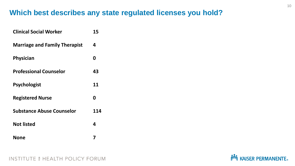#### **Which best describes any state regulated licenses you hold?**

| <b>Clinical Social Worker</b>        | 15  |
|--------------------------------------|-----|
| <b>Marriage and Family Therapist</b> | 4   |
| <b>Physician</b>                     | 0   |
| <b>Professional Counselor</b>        | 43  |
| <b>Psychologist</b>                  | 11  |
| <b>Registered Nurse</b>              | 0   |
| <b>Substance Abuse Counselor</b>     | 114 |
| <b>Not listed</b>                    | 4   |
| None                                 |     |

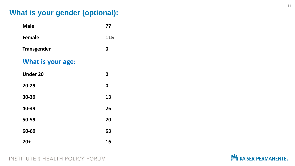#### **What is your gender (optional):**

| <b>Male</b>              | 77               |
|--------------------------|------------------|
| <b>Female</b>            | 115              |
| <b>Transgender</b>       | 0                |
| <b>What is your age:</b> |                  |
| <b>Under 20</b>          | 0                |
| 20-29                    | $\boldsymbol{0}$ |
| 30-39                    | 13               |
| 40-49                    | 26               |
| 50-59                    | 70               |
| 60-69                    | 63               |
| 70+                      | 16               |

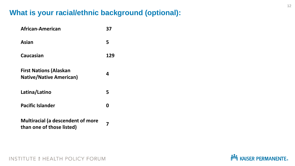#### **What is your racial/ethnic background (optional):**

| African-American                                                      | 37  |
|-----------------------------------------------------------------------|-----|
| Asian                                                                 | 5   |
| Caucasian                                                             | 129 |
| <b>First Nations (Alaskan</b><br><b>Native/Native American)</b>       | 4   |
| Latina/Latino                                                         | 5   |
| <b>Pacific Islander</b>                                               | Ω   |
| <b>Multiracial (a descendent of more</b><br>than one of those listed) | 7   |

**NOW KAISER PERMANENTE.**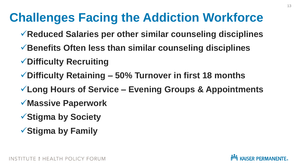# **Challenges Facing the Addiction Workforce**

- ✓**Reduced Salaries per other similar counseling disciplines**
- ✓**Benefits Often less than similar counseling disciplines**
- ✓**Difficulty Recruiting**
- ✓**Difficulty Retaining – 50% Turnover in first 18 months**
- ✓**Long Hours of Service – Evening Groups & Appointments**
- ✓**Massive Paperwork**
- ✓**Stigma by Society**
- ✓**Stigma by Family**

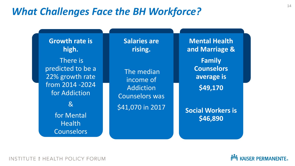### *What Challenges Face the BH Workforce?*

**Growth rate is high.** There is predicted to be a 22% growth rate from 2014 -2024 for Addiction & for Mental Health **Counselors** 

**Salaries are rising.**

The median income of Addiction Counselors was \$41,070 in 2017

**Mental Health and Marriage &**

> **Family Counselors average is**

> > **\$49,170**

**Social Workers is \$46,890**

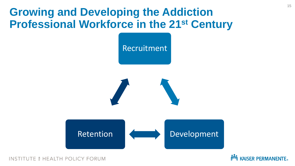### **Growing and Developing the Addiction Professional Workforce in the 21st Century**



E 6 HEALTH POLICY FORUM

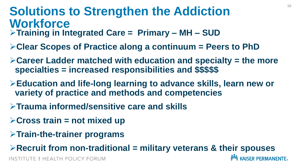### **Solutions to Strengthen the Addiction Workforce**

- ➢**Training in Integrated Care = Primary – MH – SUD**
- ➢**Clear Scopes of Practice along a continuum = Peers to PhD**
- ➢**Career Ladder matched with education and specialty = the more specialties = increased responsibilities and \$\$\$\$\$**
- ➢**Education and life-long learning to advance skills, learn new or variety of practice and methods and competencies**
- ➢**Trauma informed/sensitive care and skills**
- ➢**Cross train = not mixed up**
- ➢**Train-the-trainer programs**

➢**Recruit from non-traditional = military veterans & their spouses**

**NOW KAISER PERMANENTE.**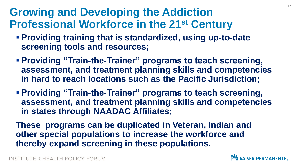### **Growing and Developing the Addiction Professional Workforce in the 21st Century**

- **Providing training that is standardized, using up-to-date screening tools and resources;**
- **Providing "Train-the-Trainer" programs to teach screening, assessment, and treatment planning skills and competencies in hard to reach locations such as the Pacific Jurisdiction;**
- **Providing "Train-the-Trainer" programs to teach screening, assessment, and treatment planning skills and competencies in states through NAADAC Affiliates;**

**These programs can be duplicated in Veteran, Indian and other special populations to increase the workforce and thereby expand screening in these populations.**

TE 6 HEALTH POLICY FORUM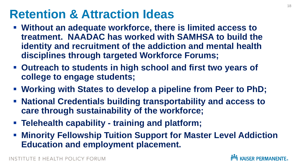### **Retention & Attraction Ideas**

- Without an adequate workforce, there is limited access to **treatment. NAADAC has worked with SAMHSA to build the identity and recruitment of the addiction and mental health disciplines through targeted Workforce Forums;**
- Outreach to students in high school and first two years of **college to engage students;**
- **Working with States to develop a pipeline from Peer to PhD;**
- **National Credentials building transportability and access to care through sustainability of the workforce;**
- **Telehealth capability - training and platform;**
- **EXT Minority Fellowship Tuition Support for Master Level Addiction Education and employment placement.**

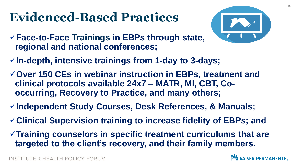# **Evidenced-Based Practices**



- ✓**Face-to-Face Trainings in EBPs through state, regional and national conferences;**
- ✓**In-depth, intensive trainings from 1-day to 3-days;**
- ✓**Over 150 CEs in webinar instruction in EBPs, treatment and clinical protocols available 24x7 – MATR, MI, CBT, Cooccurring, Recovery to Practice, and many others;**
- ✓**Independent Study Courses, Desk References, & Manuals;**
- ✓**Clinical Supervision training to increase fidelity of EBPs; and**
- ✓**Training counselors in specific treatment curriculums that are targeted to the client's recovery, and their family members.**



TE 6 HEALTH POLICY FORUM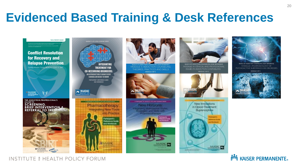### **Evidenced Based Training & Desk References**

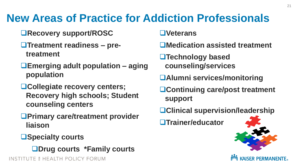### **New Areas of Practice for Addiction Professionals**

- **Recovery support/ROSC**
- **Treatment readiness – pretreatment**
- **Emerging adult population – aging population**
- **Collegiate recovery centers; Recovery high schools; Student counseling centers**
- **Primary care/treatment provider liaison**
- **Specialty courts**



INSTITUTE & HEALTH POLICY FORUM

**Veterans**

- **Medication assisted treatment**
- **Technology based counseling/services**
- **Alumni services/monitoring**
- **Continuing care/post treatment support**
- **Clinical supervision/leadership**

**Trainer/educator**